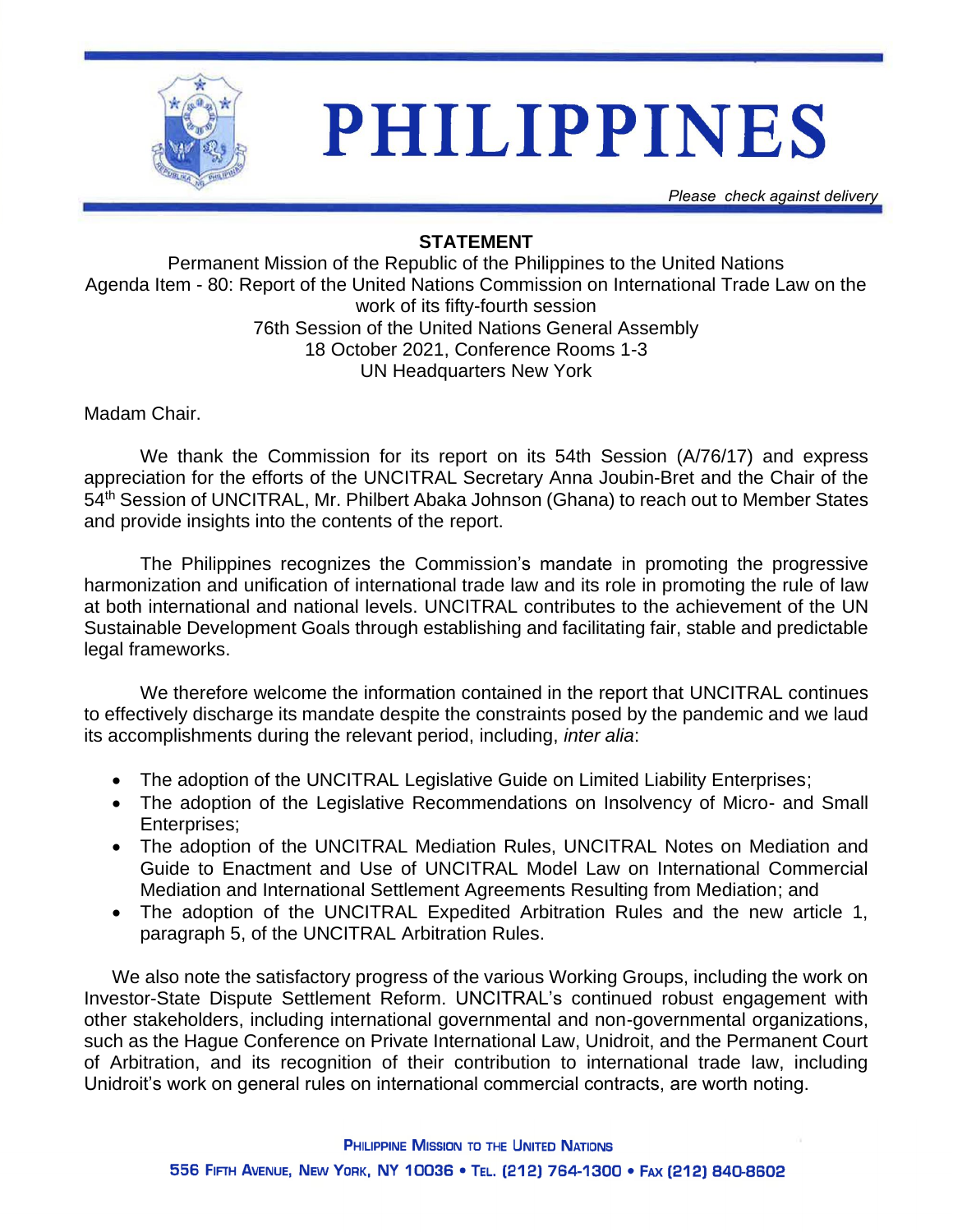

## **PHILIPPINES**

*Please check against delivery*

## **STATEMENT**

Permanent Mission of the Republic of the Philippines to the United Nations Agenda Item - 80: Report of the United Nations Commission on International Trade Law on the work of its fifty-fourth session 76th Session of the United Nations General Assembly 18 October 2021, Conference Rooms 1-3 UN Headquarters New York

Madam Chair.

We thank the Commission for its report on its 54th Session (A/76/17) and express appreciation for the efforts of the UNCITRAL Secretary Anna Joubin-Bret and the Chair of the 54th Session of UNCITRAL, Mr. Philbert Abaka Johnson (Ghana) to reach out to Member States and provide insights into the contents of the report.

The Philippines recognizes the Commission's mandate in promoting the progressive harmonization and unification of international trade law and its role in promoting the rule of law at both international and national levels. UNCITRAL contributes to the achievement of the UN Sustainable Development Goals through establishing and facilitating fair, stable and predictable legal frameworks.

We therefore welcome the information contained in the report that UNCITRAL continues to effectively discharge its mandate despite the constraints posed by the pandemic and we laud its accomplishments during the relevant period, including, *inter alia*:

- The adoption of the UNCITRAL Legislative Guide on Limited Liability Enterprises;
- The adoption of the Legislative Recommendations on Insolvency of Micro- and Small Enterprises;
- The adoption of the UNCITRAL Mediation Rules, UNCITRAL Notes on Mediation and Guide to Enactment and Use of UNCITRAL Model Law on International Commercial Mediation and International Settlement Agreements Resulting from Mediation; and
- The adoption of the UNCITRAL Expedited Arbitration Rules and the new article 1, paragraph 5, of the UNCITRAL Arbitration Rules.

We also note the satisfactory progress of the various Working Groups, including the work on Investor-State Dispute Settlement Reform. UNCITRAL's continued robust engagement with other stakeholders, including international governmental and non-governmental organizations, such as the Hague Conference on Private International Law, Unidroit, and the Permanent Court of Arbitration, and its recognition of their contribution to international trade law, including Unidroit's work on general rules on international commercial contracts, are worth noting.